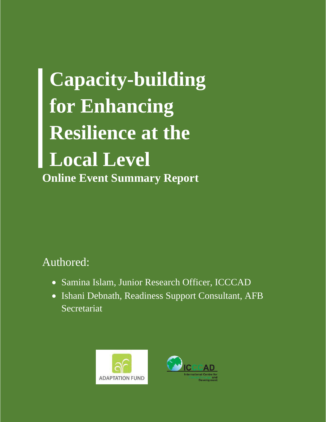**Capacity-building for Enhancing Resilience at the Local Level Online Event Summary Report**

### Authored:

- Samina Islam, Junior Research Officer, ICCCAD
- Ishani Debnath, Readiness Support Consultant, AFB Secretariat



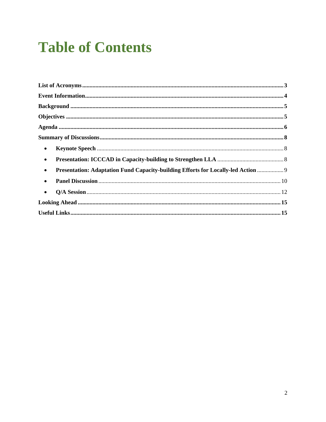### **Table of Contents**

| $\bullet$                                                                                      |  |
|------------------------------------------------------------------------------------------------|--|
| $\bullet$                                                                                      |  |
| Presentation: Adaptation Fund Capacity-building Efforts for Locally-led Action  9<br>$\bullet$ |  |
| $\bullet$                                                                                      |  |
| $\bullet$                                                                                      |  |
|                                                                                                |  |
|                                                                                                |  |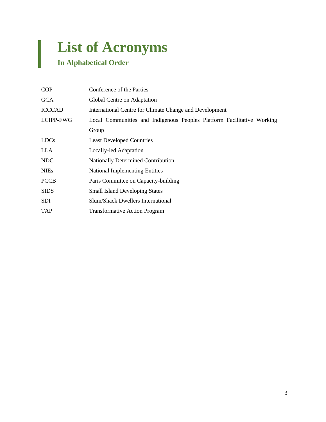# <span id="page-2-0"></span>**List of Acronyms**

### **In Alphabetical Order**

| Conference of the Parties                                              |
|------------------------------------------------------------------------|
| Global Centre on Adaptation                                            |
| International Centre for Climate Change and Development                |
| Local Communities and Indigenous Peoples Platform Facilitative Working |
| Group                                                                  |
| <b>Least Developed Countries</b>                                       |
| Locally-led Adaptation                                                 |
| <b>Nationally Determined Contribution</b>                              |
| <b>National Implementing Entities</b>                                  |
| Paris Committee on Capacity-building                                   |
| <b>Small Island Developing States</b>                                  |
| <b>Slum/Shack Dwellers International</b>                               |
| <b>Transformative Action Program</b>                                   |
|                                                                        |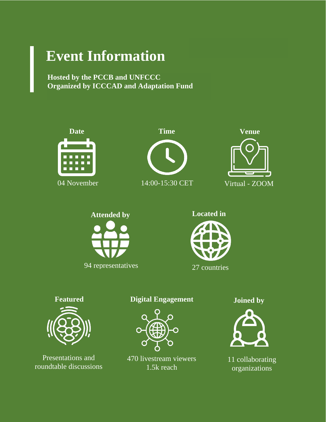### **Event Information**

**Hosted by the PCCB and UNFCCC Organized by ICCCAD and Adaptation Fund**



04 November









#### **Featured**



Presentations and roundtable discussions

#### **Digital Engagement**



470 livestream viewers 1.5k reach

**Joined by**



11 collaborating organizations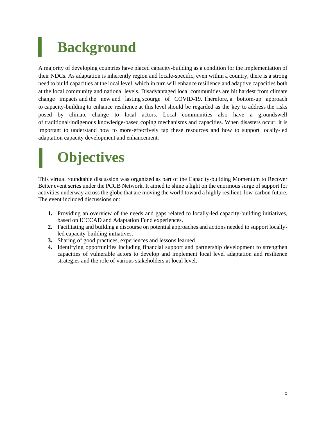# <span id="page-4-0"></span>**Background**

A majority of developing countries have placed capacity-building as a condition for the implementation of their NDCs. As adaptation is inherently region and locale-specific, even within a country, there is a strong need to build capacities at the local level, which in turn will enhance resilience and adaptive capacities both at the local community and national levels. Disadvantaged local communities are hit hardest from climate change impacts and the new and lasting scourge of COVID-19. Therefore, a bottom-up approach to capacity-building to enhance resilience at this level should be regarded as the key to address the risks posed by climate change to local actors. Local communities also have a groundswell of traditional/indigenous knowledge-based coping mechanisms and capacities. When disasters occur, it is important to understand how to more-effectively tap these resources and how to support locally-led adaptation capacity development and enhancement.

# <span id="page-4-1"></span>**Objectives**

This virtual roundtable discussion was organized as part of the [Capacity-building Momentum to Recover](https://unfccc.int/pccb-network/CBMomentum2020)  [Better](https://unfccc.int/pccb-network/CBMomentum2020) event series under the PCCB Network. It aimed to shine a light on the enormous surge of support for activities underway across the globe that are moving the world toward a highly resilient, low-carbon future. The event included discussions on:

- **1.** Providing an overview of the needs and gaps related to locally-led capacity-building initiatives, based on ICCCAD and Adaptation Fund experiences.
- **2.** Facilitating and building a discourse on potential approaches and actions needed to support locallyled capacity-building initiatives.
- **3.** Sharing of good practices, experiences and lessons learned.
- **4.** Identifying opportunities including financial support and partnership development to strengthen capacities of vulnerable actors to develop and implement local level adaptation and resilience strategies and the role of various stakeholders at local level.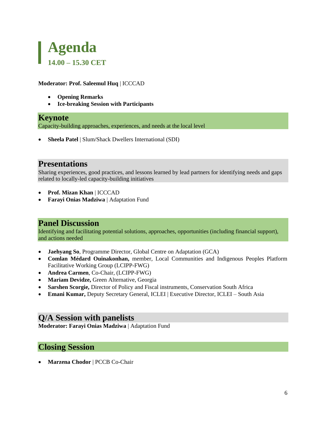<span id="page-5-0"></span>

#### **Moderator: Prof. Saleemul Huq** | ICCCAD

- **Opening Remarks**
- **Ice-breaking Session with Participants**

#### **Keynote** Capacity-building approaches, experiences, and needs at the local level

• **Sheela Patel** | Slum/Shack Dwellers International (SDI)

#### **Presentations**

Sharing experiences, good practices, and lessons learned by lead partners for identifying needs and gaps related to locally-led capacity-building initiatives

- **Prof. Mizan Khan** | ICCCAD
- **Farayi Onias Madziwa** | Adaptation Fund

#### **Panel Discussion**

Identifying and facilitating potential solutions, approaches, opportunities (including financial support), and actions needed

- **Jaehyang So**, Programme Director, Global Centre on Adaptation (GCA)
- **Comlan Médard Ouinakonhan,** member, Local Communities and Indigenous Peoples Platform Facilitative Working Group (LCIPP-FWG)
- **Andrea Carmen**, Co-Chair, (LCIPP-FWG)
- **Mariam Devidze,** Green Alternative, Georgia
- **Sarshen Scorgie,** Director of Policy and Fiscal instruments, Conservation South Africa
- **Emani Kumar,** Deputy Secretary General, ICLEI | Executive Director, ICLEI South Asia

#### **Q/A Session with panelists**

**Moderator: Farayi Onias Madziwa** | Adaptation Fund

#### **Closing Session**

• **Marzena Chodor** | PCCB Co-Chair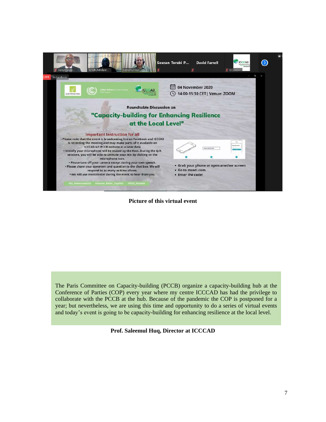

**Picture of this virtual event**

The Paris Committee on Capacity-building (PCCB) organize a capacity-building hub at the Conference of Parties (COP) every year where my centre ICCCAD has had the privilege to collaborate with the PCCB at the hub. Because of the pandemic the COP is postponed for a year; but nevertheless, we are using this time and opportunity to do a series of virtual events and today's event is going to be capacity-building for enhancing resilience at the local level.

**Prof. Saleemul Huq, Director at ICCCAD**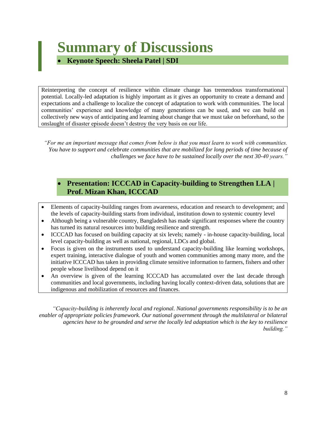# <span id="page-7-0"></span>**Summary of Discussions**

#### <span id="page-7-1"></span>• **Keynote Speech: Sheela Patel | SDI**

Reinterpreting the concept of resilience within climate change has tremendous transformational potential. Locally-led adaptation is highly important as it gives an opportunity to create a demand and expectations and a challenge to localize the concept of adaptation to work with communities. The local communities' experience and knowledge of many generations can be used, and we can build on collectively new ways of anticipating and learning about change that we must take on beforehand, so the onslaught of disaster episode doesn't destroy the very basis on our life.

*"For me an important message that comes from below is that you must learn to work with communities. You have to support and celebrate communities that are mobilized for long periods of time because of challenges we face have to be sustained locally over the next 30-40 years."*

#### <span id="page-7-2"></span>• **Presentation: ICCCAD in Capacity-building to Strengthen LLA | Prof. Mizan Khan, ICCCAD**

- Elements of capacity-building ranges from awareness, education and research to development; and the levels of capacity-building starts from individual, institution down to systemic country level
- Although being a vulnerable country. Bangladesh has made significant responses where the country has turned its natural resources into building resilience and strength.
- ICCCAD has focused on building capacity at six levels; namely in-house capacity-building, local level capacity-building as well as national, regional, LDCs and global.
- Focus is given on the instruments used to understand capacity-building like learning workshops, expert training, interactive dialogue of youth and women communities among many more, and the initiative ICCCAD has taken in providing climate sensitive information to farmers, fishers and other people whose livelihood depend on it
- An overview is given of the learning ICCCAD has accumulated over the last decade through communities and local governments, including having locally context-driven data, solutions that are indigenous and mobilization of resources and finances.

*"Capacity-building is inherently local and regional. National governments responsibility is to be an enabler of appropriate policies framework. Our national government through the multilateral or bilateral agencies have to be grounded and serve the locally led adaptation which is the key to resilience building."*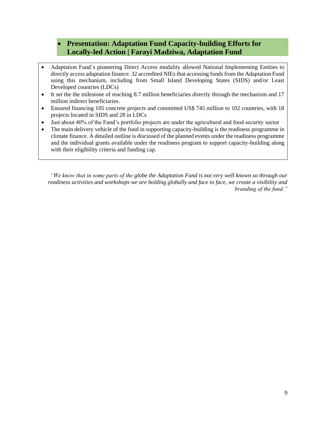#### <span id="page-8-0"></span>• **Presentation: Adaptation Fund Capacity-building Efforts for Locally-led Action | Farayi Madziwa, Adaptation Fund**

- Adaptation Fund's pioneering Direct Access modality allowed National Implementing Entities to directly access adaptation finance. 32 accredited NIEs that accessing funds from the Adaptation Fund using this mechanism, including from Small Island Developing States (SIDS) and/or Least Developed countries (LDCs)
- It set the the milestone of reaching 8.7 million beneficiaries directly through the mechanism and 17 million indirect beneficiaries.
- Ensured financing 105 concrete projects and committed US\$ 745 million to 102 countries, with 18 projects located in SIDS and 28 in LDCs
- Just about 40% of the Fund's portfolio projects are under the agricultural and food security sector
- The main delivery vehicle of the fund in supporting capacity-building is the readiness programme in climate finance. A detailed outline is discussed of the planned events under the readiness programme and the individual grants available under the readiness program to support capacity-building along with their eligibility criteria and funding cap.

*"We know that in some parts of the globe the Adaptation Fund is not very well known so through our readiness activities and workshops we are holding globally and face to face, we create a visibility and branding of the fund."*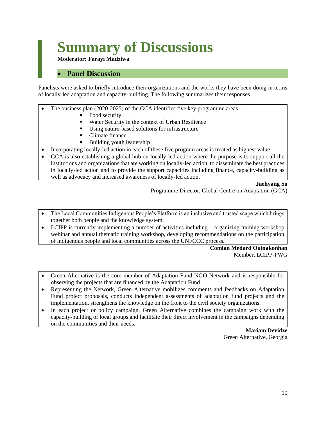## **Summary of Discussions**

#### **Moderator: Farayi Madziwa**

#### • **Panel Discussion**

<span id="page-9-0"></span>Panelists were asked to briefly introduce their organizations and the works they have been doing in terms of locally-led adaptation and capacity-building. The following summarizes their responses.

- The business plan (2020-2025) of the GCA identifies five key programme areas  $-$ 
	- Food security
	- Water Security in the context of Urban Resilience
	- Using nature-based solutions for infrastructure
	- Climate finance
	- Building youth leadership
- Incorporating locally-led action in each of these five program areas is treated as highest value.
- GCA is also establishing a global hub on locally-led action where the purpose is to support all the institutions and organizations that are working on locally-led action, to disseminate the best practices in locally-led action and to provide the support capacities including finance, capacity-building as well as advocacy and increased awareness of locally-led action.

**Jaehyang So** Programme Director, Global Centre on Adaptation (GCA)

- The Local Communities Indigenous People's Platform is an inclusive and trusted scape which brings together both people and the knowledge system.
- LCIPP is currently implementing a number of activities including organizing training workshop webinar and annual thematic training workshop, developing recommendations on the participation of indigenous people and local communities across the UNFCCC process.

**Comlan Médard Ouinakonhan** Member, LCIPP-FWG

- Green Alternative is the core member of Adaptation Fund NGO Network and is responsible for observing the projects that are financed by the Adaptation Fund.
- Representing the Network, Green Alternative mobilizes comments and feedbacks on Adaptation Fund project proposals, conducts independent assessments of adaptation fund projects and the implementation, strengthens the knowledge on the front to the civil society organizations.
- In each project or policy campaign, Green Alternative combines the campaign work with the capacity-building of local groups and facilitate their direct involvement in the campaigns depending on the communities and their needs.

**Mariam Devidze** Green Alternative, Georgia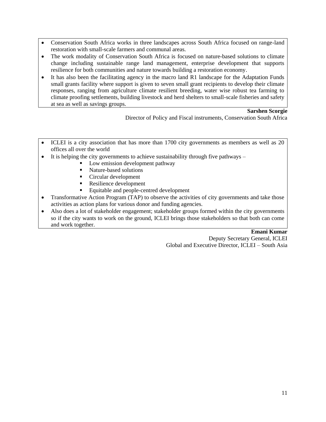- Conservation South Africa works in three landscapes across South Africa focused on range-land restoration with small-scale farmers and communal areas.
- The work modality of Conservation South Africa is focused on nature-based solutions to climate change including sustainable range land management, enterprise development that supports resilience for both communities and nature towards building a restoration economy.
- It has also been the facilitating agency in the macro land R1 landscape for the Adaptation Funds small grants facility where support is given to seven small grant recipients to develop their climate responses, ranging from agriculture climate resilient breeding, water wise robust tea farming to climate proofing settlements, building livestock and herd shelters to small-scale fisheries and safety at sea as well as savings groups.

#### **Sarshen Scorgie**

Director of Policy and Fiscal instruments, Conservation South Africa

- ICLEI is a city association that has more than 1700 city governments as members as well as 20 offices all over the world
- It is helping the city governments to achieve sustainability through five pathways  $-$ 
	- Low emission development pathway
	- Nature-based solutions
	- Circular development
	- Resilience development
	- Equitable and people-centred development
- Transformative Action Program (TAP) to observe the activities of city governments and take those activities as action plans for various donor and funding agencies.
- Also does a lot of stakeholder engagement; stakeholder groups formed within the city governments so if the city wants to work on the ground, ICLEI brings those stakeholders so that both can come and work together.

#### **Emani Kumar**

Deputy Secretary General, ICLEI Global and Executive Director, ICLEI – South Asia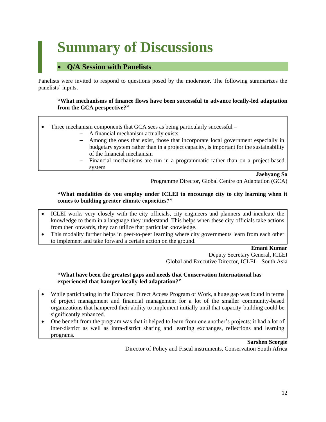## **Summary of Discussions**

#### <span id="page-11-0"></span>• **Q/A Session with Panelists**

Panelists were invited to respond to questions posed by the moderator. The following summarizes the panelists' inputs.

#### **"What mechanisms of finance flows have been successful to advance locally-led adaptation from the GCA perspective?"**

- Three mechanism components that GCA sees as being particularly successful
	- A financial mechanism actually exists
	- Among the ones that exist, those that incorporate local government especially in budgetary system rather than in a project capacity, is important for the sustainability of the financial mechanism
	- Financial mechanisms are run in a programmatic rather than on a project-based system

**Jaehyang So**  Programme Director, Global Centre on Adaptation (GCA)

#### **"What modalities do you employ under ICLEI to encourage city to city learning when it comes to building greater climate capacities?"**

- ICLEI works very closely with the city officials, city engineers and planners and inculcate the knowledge to them in a language they understand. This helps when these city officials take actions from then onwards, they can utilize that particular knowledge.
- This modality further helps in peer-to-peer learning where city governments learn from each other to implement and take forward a certain action on the ground.

#### **Emani Kumar**

Deputy Secretary General, ICLEI Global and Executive Director, ICLEI – South Asia

#### **"What have been the greatest gaps and needs that Conservation International has experienced that hamper locally-led adaptation?"**

- While participating in the Enhanced Direct Access Program of Work, a huge gap was found in terms of project management and financial management for a lot of the smaller community-based organizations that hampered their ability to implement initially until that capacity-building could be significantly enhanced.
- One benefit from the program was that it helped to learn from one another's projects; it had a lot of inter-district as well as intra-district sharing and learning exchanges, reflections and learning programs.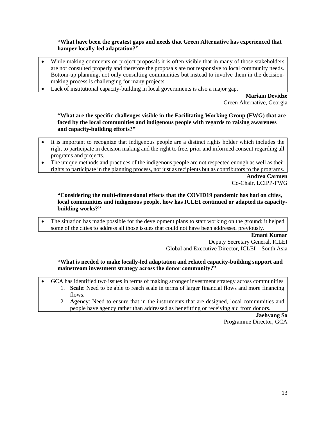#### **"What have been the greatest gaps and needs that Green Alternative has experienced that hamper locally-led adaptation?"**

- While making comments on project proposals it is often visible that in many of those stakeholders are not consulted properly and therefore the proposals are not responsive to local community needs. Bottom-up planning, not only consulting communities but instead to involve them in the decisionmaking process is challenging for many projects.
- Lack of institutional capacity-building in local governments is also a major gap.

**Mariam Devidze** Green Alternative, Georgia

**"What are the specific challenges visible in the Facilitating Working Group (FWG) that are faced by the local communities and indigenous people with regards to raising awareness and capacity-building efforts?"**

- It is important to recognize that indigenous people are a distinct rights holder which includes the right to participate in decision making and the right to free, prior and informed consent regarding all programs and projects.
- The unique methods and practices of the indigenous people are not respected enough as well as their rights to participate in the planning process, not just as recipients but as contributors to the programs.

**Andrea Carmen**  Co-Chair, LCIPP-FWG

**"Considering the multi-dimensional effects that the COVID19 pandemic has had on cities, local communities and indigenous people, how has ICLEI continued or adapted its capacitybuilding works?"**

• The situation has made possible for the development plans to start working on the ground; it helped some of the cities to address all those issues that could not have been addressed previously.

> **Emani Kumar** Deputy Secretary General, ICLEI Global and Executive Director, ICLEI – South Asia

#### **"What is needed to make locally-led adaptation and related capacity-building support and mainstream investment strategy across the donor community?"**

- GCA has identified two issues in terms of making stronger investment strategy across communities 1. **Scale**: Need to be able to reach scale in terms of larger financial flows and more financing
	- flows.
	- 2. **Agency**: Need to ensure that in the instruments that are designed, local communities and people have agency rather than addressed as benefitting or receiving aid from donors.

**Jaehyang So** Programme Director, GCA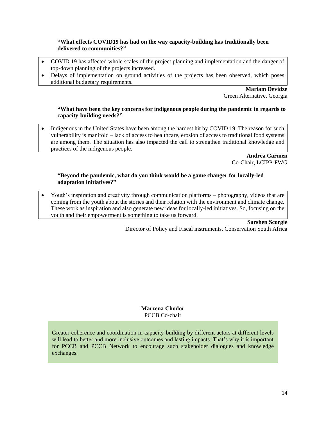#### **"What effects COVID19 has had on the way capacity-building has traditionally been delivered to communities?"**

- COVID 19 has affected whole scales of the project planning and implementation and the danger of top-down planning of the projects increased.
- Delays of implementation on ground activities of the projects has been observed, which poses additional budgetary requirements.

**Mariam Devidze**

Green Alternative, Georgia

#### **"What have been the key concerns for indigenous people during the pandemic in regards to capacity-building needs?"**

• Indigenous in the United States have been among the hardest hit by COVID 19. The reason for such vulnerability is manifold – lack of access to healthcare, erosion of access to traditional food systems are among them. The situation has also impacted the call to strengthen traditional knowledge and practices of the indigenous people.

> **Andrea Carmen**  Co-Chair, LCIPP-FWG

#### **"Beyond the pandemic, what do you think would be a game changer for locally-led adaptation initiatives?"**

• Youth's inspiration and creativity through communication platforms – photography, videos that are coming from the youth about the stories and their relation with the environment and climate change. These work as inspiration and also generate new ideas for locally-led initiatives. So, focusing on the youth and their empowerment is something to take us forward.

> **Sarshen Scorgie** Director of Policy and Fiscal instruments, Conservation South Africa

**Marzena Chodor** PCCB Co-chair

Greater coherence and coordination in capacity-building by different actors at different levels will lead to better and more inclusive outcomes and lasting impacts. That's why it is important for PCCB and PCCB Network to encourage such stakeholder dialogues and knowledge exchanges.